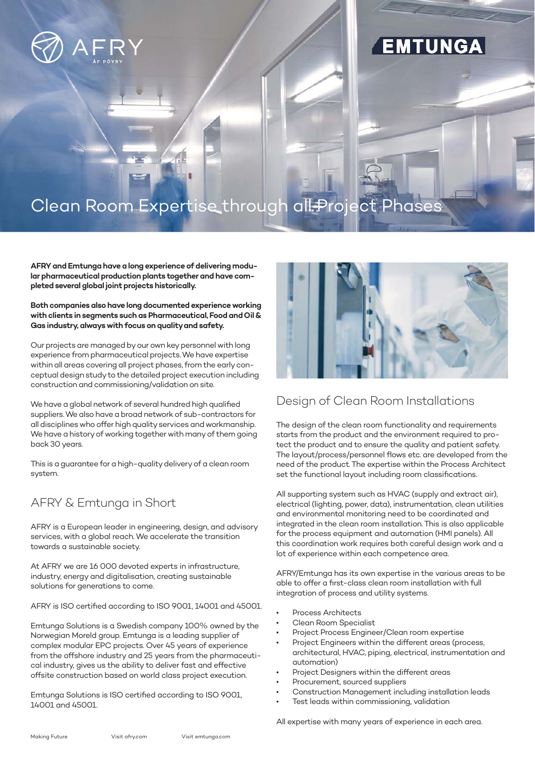

# EMTUNGA

# Clean Room Expertise through all Project Phases

**AFRY and Emtunga have a long experience of delivering modular pharmaceutical production plants together and have completed several global joint projects historically.** 

#### **Both companies also have long documented experience working with clients in segments such as Pharmaceutical, Food and Oil & Gas industry, always with focus on quality and safety.**

Our projects are managed by our own key personnel with long experience from pharmaceutical projects. We have expertise within all areas covering all project phases, from the early conceptual design study to the detailed project execution including construction and commissioning/validation on site.

We have a global network of several hundred high qualified suppliers. We also have a broad network of sub-contractors for all disciplines who offer high quality services and workmanship. We have a history of working together with many of them going back 30 years.

This is a guarantee for a high-quality delivery of a clean room system.

## AFRY & Emtunga in Short

AFRY is a European leader in engineering, design, and advisory services, with a global reach. We accelerate the transition towards a sustainable society.

At AFRY we are 16 000 devoted experts in infrastructure, industry, energy and digitalisation, creating sustainable solutions for generations to come.

AFRY is ISO certified according to ISO 9001, 14001 and 45001.

Emtunga Solutions is a Swedish company 100% owned by the Norwegian Moreld group. Emtunga is a leading supplier of complex modular EPC projects. Over 45 years of experience from the offshore industry and 25 years from the pharmaceutical industry, gives us the ability to deliver fast and effective offsite construction based on world class project execution.

Emtunga Solutions is ISO certified according to ISO 9001, 14001 and 45001.



## Design of Clean Room Installations

The design of the clean room functionality and requirements starts from the product and the environment required to protect the product and to ensure the quality and patient safety. The layout/process/personnel flows etc. are developed from the need of the product. The expertise within the Process Architect set the functional layout including room classifications.

All supporting system such as HVAC (supply and extract air), electrical (lighting, power, data), instrumentation, clean utilities and environmental monitoring need to be coordinated and integrated in the clean room installation. This is also applicable for the process equipment and automation (HMI panels). All this coordination work requires both careful design work and a lot of experience within each competence area.

AFRY/Emtunga has its own expertise in the various areas to be able to offer a first-class clean room installation with full integration of process and utility systems.

- Process Architects
- Clean Room Specialist
- Project Process Engineer/Clean room expertise
- Project Engineers within the different areas (process, architectural, HVAC, piping, electrical, instrumentation and automation)
- Project Designers within the different areas
- Procurement, sourced suppliers
- Construction Management including installation leads
- Test leads within commissioning, validation

All expertise with many years of experience in each area.